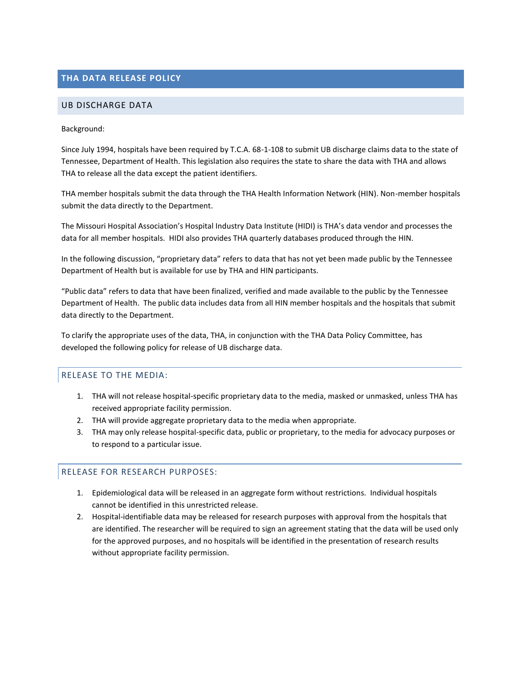# **THA DATA RELEASE POLICY**

#### UB DISCHARGE DATA

#### Background:

Since July 1994, hospitals have been required by T.C.A. 68-1-108 to submit UB discharge claims data to the state of Tennessee, Department of Health. This legislation also requires the state to share the data with THA and allows THA to release all the data except the patient identifiers.

THA member hospitals submit the data through the THA Health Information Network (HIN). Non-member hospitals submit the data directly to the Department.

The Missouri Hospital Association's Hospital Industry Data Institute (HIDI) is THA's data vendor and processes the data for all member hospitals. HIDI also provides THA quarterly databases produced through the HIN.

In the following discussion, "proprietary data" refers to data that has not yet been made public by the Tennessee Department of Health but is available for use by THA and HIN participants.

"Public data" refers to data that have been finalized, verified and made available to the public by the Tennessee Department of Health. The public data includes data from all HIN member hospitals and the hospitals that submit data directly to the Department.

To clarify the appropriate uses of the data, THA, in conjunction with the THA Data Policy Committee, has developed the following policy for release of UB discharge data.

#### RELEASE TO THE MEDIA:

- 1. THA will not release hospital-specific proprietary data to the media, masked or unmasked, unless THA has received appropriate facility permission.
- 2. THA will provide aggregate proprietary data to the media when appropriate.
- 3. THA may only release hospital-specific data, public or proprietary, to the media for advocacy purposes or to respond to a particular issue.

#### RELEASE FOR RESEARCH PURPOSES:

- 1. Epidemiological data will be released in an aggregate form without restrictions. Individual hospitals cannot be identified in this unrestricted release.
- 2. Hospital-identifiable data may be released for research purposes with approval from the hospitals that are identified. The researcher will be required to sign an agreement stating that the data will be used only for the approved purposes, and no hospitals will be identified in the presentation of research results without appropriate facility permission.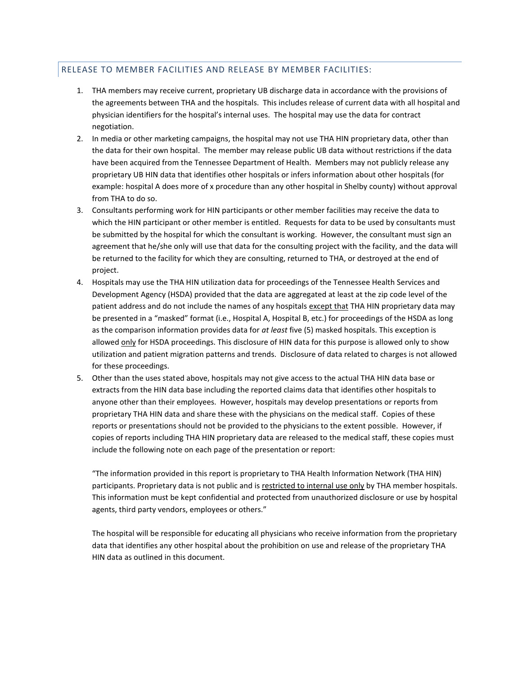### RELEASE TO MEMBER FACILITIES AND RELEASE BY MEMBER FACILITIES:

- 1. THA members may receive current, proprietary UB discharge data in accordance with the provisions of the agreements between THA and the hospitals. This includes release of current data with all hospital and physician identifiers for the hospital's internal uses. The hospital may use the data for contract negotiation.
- 2. In media or other marketing campaigns, the hospital may not use THA HIN proprietary data, other than the data for their own hospital. The member may release public UB data without restrictions if the data have been acquired from the Tennessee Department of Health. Members may not publicly release any proprietary UB HIN data that identifies other hospitals or infers information about other hospitals (for example: hospital A does more of x procedure than any other hospital in Shelby county) without approval from THA to do so.
- 3. Consultants performing work for HIN participants or other member facilities may receive the data to which the HIN participant or other member is entitled. Requests for data to be used by consultants must be submitted by the hospital for which the consultant is working. However, the consultant must sign an agreement that he/she only will use that data for the consulting project with the facility, and the data will be returned to the facility for which they are consulting, returned to THA, or destroyed at the end of project.
- 4. Hospitals may use the THA HIN utilization data for proceedings of the Tennessee Health Services and Development Agency (HSDA) provided that the data are aggregated at least at the zip code level of the patient address and do not include the names of any hospitals except that THA HIN proprietary data may be presented in a "masked" format (i.e., Hospital A, Hospital B, etc.) for proceedings of the HSDA as long as the comparison information provides data for *at least* five (5) masked hospitals. This exception is allowed only for HSDA proceedings. This disclosure of HIN data for this purpose is allowed only to show utilization and patient migration patterns and trends. Disclosure of data related to charges is not allowed for these proceedings.
- 5. Other than the uses stated above, hospitals may not give access to the actual THA HIN data base or extracts from the HIN data base including the reported claims data that identifies other hospitals to anyone other than their employees. However, hospitals may develop presentations or reports from proprietary THA HIN data and share these with the physicians on the medical staff. Copies of these reports or presentations should not be provided to the physicians to the extent possible. However, if copies of reports including THA HIN proprietary data are released to the medical staff, these copies must include the following note on each page of the presentation or report:

"The information provided in this report is proprietary to THA Health Information Network (THA HIN) participants. Proprietary data is not public and is restricted to internal use only by THA member hospitals. This information must be kept confidential and protected from unauthorized disclosure or use by hospital agents, third party vendors, employees or others."

The hospital will be responsible for educating all physicians who receive information from the proprietary data that identifies any other hospital about the prohibition on use and release of the proprietary THA HIN data as outlined in this document.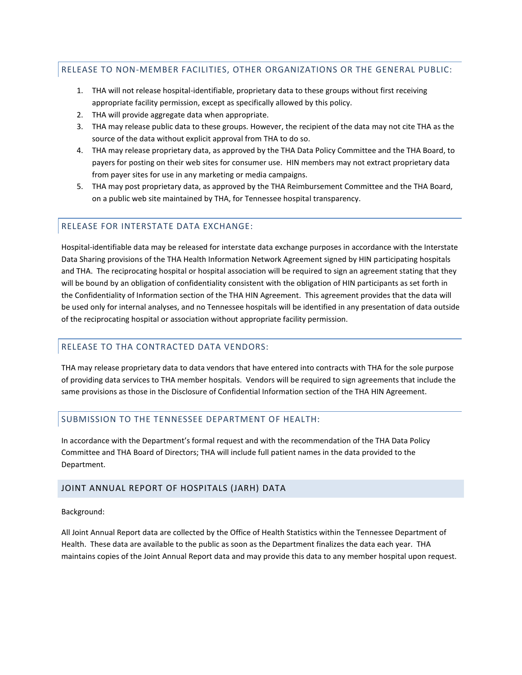## RELEASE TO NON-MEMBER FACILITIES, OTHER ORGANIZATIONS OR THE GENERAL PUBLIC:

- 1. THA will not release hospital-identifiable, proprietary data to these groups without first receiving appropriate facility permission, except as specifically allowed by this policy.
- 2. THA will provide aggregate data when appropriate.
- 3. THA may release public data to these groups. However, the recipient of the data may not cite THA as the source of the data without explicit approval from THA to do so.
- 4. THA may release proprietary data, as approved by the THA Data Policy Committee and the THA Board, to payers for posting on their web sites for consumer use. HIN members may not extract proprietary data from payer sites for use in any marketing or media campaigns.
- 5. THA may post proprietary data, as approved by the THA Reimbursement Committee and the THA Board, on a public web site maintained by THA, for Tennessee hospital transparency.

#### RELEASE FOR INTERSTATE DATA EXCHANGE:

Hospital-identifiable data may be released for interstate data exchange purposes in accordance with the Interstate Data Sharing provisions of the THA Health Information Network Agreement signed by HIN participating hospitals and THA. The reciprocating hospital or hospital association will be required to sign an agreement stating that they will be bound by an obligation of confidentiality consistent with the obligation of HIN participants as set forth in the Confidentiality of Information section of the THA HIN Agreement. This agreement provides that the data will be used only for internal analyses, and no Tennessee hospitals will be identified in any presentation of data outside of the reciprocating hospital or association without appropriate facility permission.

## RELEASE TO THA CONTRACTED DATA VENDORS:

THA may release proprietary data to data vendors that have entered into contracts with THA for the sole purpose of providing data services to THA member hospitals. Vendors will be required to sign agreements that include the same provisions as those in the Disclosure of Confidential Information section of the THA HIN Agreement.

#### SUBMISSION TO THE TENNESSEE DEPARTMENT OF HEALTH:

In accordance with the Department's formal request and with the recommendation of the THA Data Policy Committee and THA Board of Directors; THA will include full patient names in the data provided to the Department.

#### JOINT ANNUAL REPORT OF HOSPITALS (JARH) DATA

Background:

All Joint Annual Report data are collected by the Office of Health Statistics within the Tennessee Department of Health. These data are available to the public as soon as the Department finalizes the data each year. THA maintains copies of the Joint Annual Report data and may provide this data to any member hospital upon request.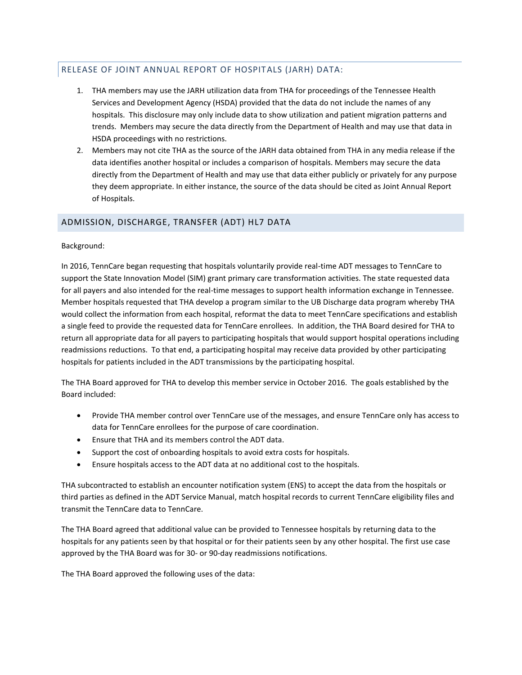# RELEASE OF JOINT ANNUAL REPORT OF HOSPITALS (JARH) DATA:

- 1. THA members may use the JARH utilization data from THA for proceedings of the Tennessee Health Services and Development Agency (HSDA) provided that the data do not include the names of any hospitals. This disclosure may only include data to show utilization and patient migration patterns and trends. Members may secure the data directly from the Department of Health and may use that data in HSDA proceedings with no restrictions.
- 2. Members may not cite THA as the source of the JARH data obtained from THA in any media release if the data identifies another hospital or includes a comparison of hospitals. Members may secure the data directly from the Department of Health and may use that data either publicly or privately for any purpose they deem appropriate. In either instance, the source of the data should be cited as Joint Annual Report of Hospitals.

## ADMISSION, DISCHARGE, TRANSFER (ADT) HL7 DATA

Background:

In 2016, TennCare began requesting that hospitals voluntarily provide real-time ADT messages to TennCare to support the State Innovation Model (SIM) grant primary care transformation activities. The state requested data for all payers and also intended for the real-time messages to support health information exchange in Tennessee. Member hospitals requested that THA develop a program similar to the UB Discharge data program whereby THA would collect the information from each hospital, reformat the data to meet TennCare specifications and establish a single feed to provide the requested data for TennCare enrollees. In addition, the THA Board desired for THA to return all appropriate data for all payers to participating hospitals that would support hospital operations including readmissions reductions. To that end, a participating hospital may receive data provided by other participating hospitals for patients included in the ADT transmissions by the participating hospital.

The THA Board approved for THA to develop this member service in October 2016. The goals established by the Board included:

- Provide THA member control over TennCare use of the messages, and ensure TennCare only has access to data for TennCare enrollees for the purpose of care coordination.
- Ensure that THA and its members control the ADT data.
- Support the cost of onboarding hospitals to avoid extra costs for hospitals.
- Ensure hospitals access to the ADT data at no additional cost to the hospitals.

THA subcontracted to establish an encounter notification system (ENS) to accept the data from the hospitals or third parties as defined in the ADT Service Manual, match hospital records to current TennCare eligibility files and transmit the TennCare data to TennCare.

The THA Board agreed that additional value can be provided to Tennessee hospitals by returning data to the hospitals for any patients seen by that hospital or for their patients seen by any other hospital. The first use case approved by the THA Board was for 30- or 90-day readmissions notifications.

The THA Board approved the following uses of the data: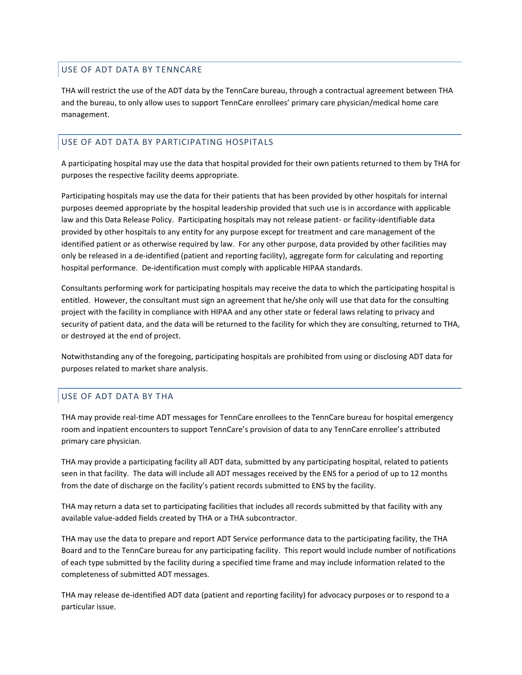## USE OF ADT DATA BY TENNCARE

THA will restrict the use of the ADT data by the TennCare bureau, through a contractual agreement between THA and the bureau, to only allow uses to support TennCare enrollees' primary care physician/medical home care management.

### USE OF ADT DATA BY PARTICIPATING HOSPITALS

A participating hospital may use the data that hospital provided for their own patients returned to them by THA for purposes the respective facility deems appropriate.

Participating hospitals may use the data for their patients that has been provided by other hospitals for internal purposes deemed appropriate by the hospital leadership provided that such use is in accordance with applicable law and this Data Release Policy. Participating hospitals may not release patient- or facility-identifiable data provided by other hospitals to any entity for any purpose except for treatment and care management of the identified patient or as otherwise required by law. For any other purpose, data provided by other facilities may only be released in a de-identified (patient and reporting facility), aggregate form for calculating and reporting hospital performance. De-identification must comply with applicable HIPAA standards.

Consultants performing work for participating hospitals may receive the data to which the participating hospital is entitled. However, the consultant must sign an agreement that he/she only will use that data for the consulting project with the facility in compliance with HIPAA and any other state or federal laws relating to privacy and security of patient data, and the data will be returned to the facility for which they are consulting, returned to THA, or destroyed at the end of project.

Notwithstanding any of the foregoing, participating hospitals are prohibited from using or disclosing ADT data for purposes related to market share analysis.

## USE OF ADT DATA BY THA

THA may provide real-time ADT messages for TennCare enrollees to the TennCare bureau for hospital emergency room and inpatient encounters to support TennCare's provision of data to any TennCare enrollee's attributed primary care physician.

THA may provide a participating facility all ADT data, submitted by any participating hospital, related to patients seen in that facility. The data will include all ADT messages received by the ENS for a period of up to 12 months from the date of discharge on the facility's patient records submitted to ENS by the facility.

THA may return a data set to participating facilities that includes all records submitted by that facility with any available value-added fields created by THA or a THA subcontractor.

THA may use the data to prepare and report ADT Service performance data to the participating facility, the THA Board and to the TennCare bureau for any participating facility. This report would include number of notifications of each type submitted by the facility during a specified time frame and may include information related to the completeness of submitted ADT messages.

THA may release de-identified ADT data (patient and reporting facility) for advocacy purposes or to respond to a particular issue.